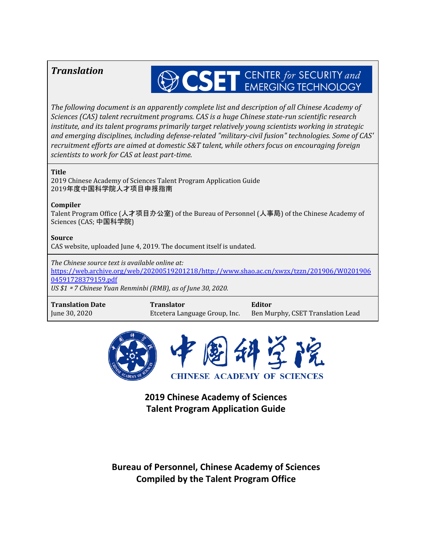# *Translation*

# SET CENTER for SECURITY and

*The following document is an apparently complete list and description of all Chinese Academy of Sciences (CAS) talent recruitment programs. CAS is a huge Chinese state-run scientific research institute, and its talent programs primarily target relatively young scientists working in strategic and emerging disciplines, including defense-related "military-civil fusion" technologies. Some of CAS' recruitment ef orts are aimed at domestic S&T talent, while others focus on encouraging foreign scientists to work for CAS at least part-time.*

#### **Title**

2019 Chinese Academy of Sciences Talent Program Application Guide 2019年度中国科学院人才项目申报指南

#### **Compiler**

Talent Program Office (人才项目办公室) of the Bureau of Personnel (人事局) of the Chinese Academy of Sciences (CAS; 中国科学院)

#### **Source**

CAS website, uploaded June 4, 2019. The document itself is undated.

*The Chinese source text is available online at:* [https://web.archive.org/web/20200519201218/http://www.shao.ac.cn/xwzx/tzzn/201906/W0201906](https://web.archive.org/web/20200519201218/http:/www.shao.ac.cn/xwzx/tzzn/201906/W020190604591728379159.pdf) [04591728379159.pdf](https://web.archive.org/web/20200519201218/http:/www.shao.ac.cn/xwzx/tzzn/201906/W020190604591728379159.pdf) *US \$1* <sup>≈</sup> *7 Chinese Yuan Renminbi (RMB), as of June 30, 2020.*

**Translation Date** June 30, 2020

**Translator** Etcetera Language Group, Inc.

**Editor** Ben Murphy, CSET Translation Lead



**2019 Chinese Academy of Sciences Talent Program Application Guide**

**Bureau of Personnel, Chinese Academy of Sciences Compiled by the Talent Program Office**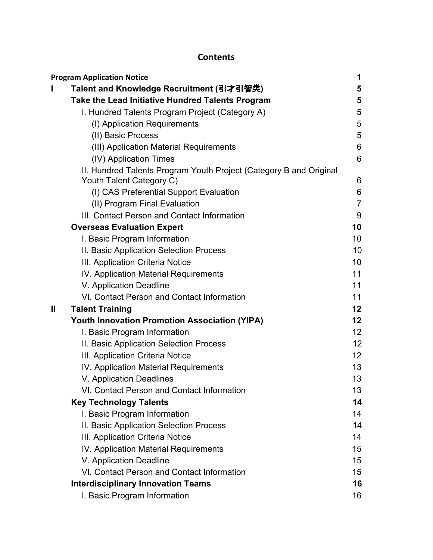# **Contents**

|   | <b>Program Application Notice</b>                                  | 1               |
|---|--------------------------------------------------------------------|-----------------|
|   | Talent and Knowledge Recruitment (引才引智类)                           | 5               |
|   | Take the Lead Initiative Hundred Talents Program                   | 5               |
|   | I. Hundred Talents Program Project (Category A)                    | 5               |
|   | (I) Application Requirements                                       | 5               |
|   | (II) Basic Process                                                 | 5               |
|   | (III) Application Material Requirements                            | 6               |
|   | (IV) Application Times                                             | 6               |
|   | II. Hundred Talents Program Youth Project (Category B and Original |                 |
|   | Youth Talent Category C)                                           | 6               |
|   | (I) CAS Preferential Support Evaluation                            | 6               |
|   | (II) Program Final Evaluation                                      | $\overline{7}$  |
|   | III. Contact Person and Contact Information                        | 9               |
|   | <b>Overseas Evaluation Expert</b>                                  | 10              |
|   | I. Basic Program Information                                       | 10              |
|   | II. Basic Application Selection Process                            | 10              |
|   | III. Application Criteria Notice                                   | 10              |
|   | IV. Application Material Requirements                              | 11              |
|   | V. Application Deadline                                            | 11              |
|   | VI. Contact Person and Contact Information                         | 11              |
| Ш | <b>Talent Training</b>                                             | 12              |
|   | <b>Youth Innovation Promotion Association (YIPA)</b>               | 12              |
|   | I. Basic Program Information                                       | 12 <sub>2</sub> |
|   | II. Basic Application Selection Process                            | 12              |
|   | III. Application Criteria Notice                                   | 12 <sub>2</sub> |
|   | IV. Application Material Requirements                              | 13              |
|   | V. Application Deadlines                                           | 13              |
|   | VI. Contact Person and Contact Information                         | 13              |
|   | <b>Key Technology Talents</b>                                      | 14              |
|   | I. Basic Program Information                                       | 14              |
|   | II. Basic Application Selection Process                            | 14              |
|   | III. Application Criteria Notice                                   | 14              |
|   | IV. Application Material Requirements                              | 15              |
|   | V. Application Deadline                                            | 15              |
|   | VI. Contact Person and Contact Information                         | 15              |
|   | <b>Interdisciplinary Innovation Teams</b>                          | 16              |
|   | I. Basic Program Information                                       | 16              |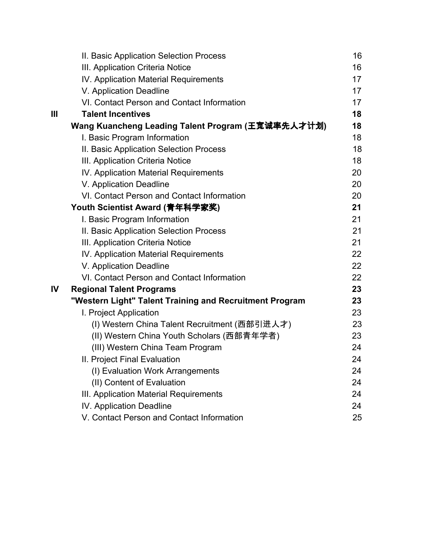|                | II. Basic Application Selection Process                 | 16 |
|----------------|---------------------------------------------------------|----|
|                | III. Application Criteria Notice                        | 16 |
|                | IV. Application Material Requirements                   | 17 |
|                | V. Application Deadline                                 | 17 |
|                | VI. Contact Person and Contact Information              | 17 |
| $\mathbf{III}$ | <b>Talent Incentives</b>                                | 18 |
|                | Wang Kuancheng Leading Talent Program (王宽诚率先人才计划)       | 18 |
|                | I. Basic Program Information                            | 18 |
|                | II. Basic Application Selection Process                 | 18 |
|                | III. Application Criteria Notice                        | 18 |
|                | IV. Application Material Requirements                   | 20 |
|                | V. Application Deadline                                 | 20 |
|                | VI. Contact Person and Contact Information              | 20 |
|                | Youth Scientist Award (青年科学家奖)                          | 21 |
|                | I. Basic Program Information                            | 21 |
|                | II. Basic Application Selection Process                 | 21 |
|                | III. Application Criteria Notice                        | 21 |
|                | IV. Application Material Requirements                   | 22 |
|                | V. Application Deadline                                 | 22 |
|                | VI. Contact Person and Contact Information              | 22 |
| IV             | <b>Regional Talent Programs</b>                         | 23 |
|                | "Western Light" Talent Training and Recruitment Program | 23 |
|                | I. Project Application                                  | 23 |
|                | (I) Western China Talent Recruitment (西部引进人才)           | 23 |
|                | (II) Western China Youth Scholars (西部青年学者)              | 23 |
|                | (III) Western China Team Program                        | 24 |
|                | II. Project Final Evaluation                            | 24 |
|                | (I) Evaluation Work Arrangements                        | 24 |
|                | (II) Content of Evaluation                              | 24 |
|                | III. Application Material Requirements                  | 24 |
|                | IV. Application Deadline                                | 24 |
|                | V. Contact Person and Contact Information               | 25 |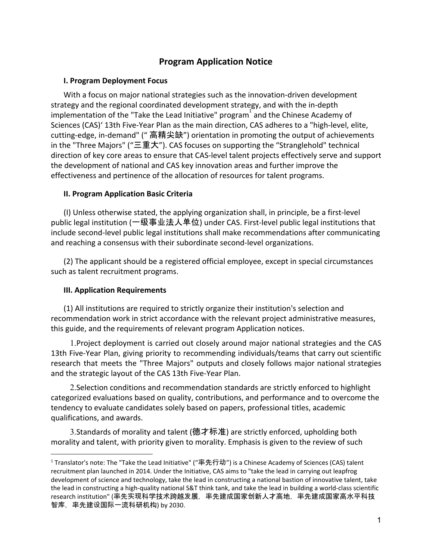# **Program Application Notice**

#### <span id="page-3-0"></span>**I. Program Deployment Focus**

With a focus on major national strategies such as the innovation-driven development strategy and the regional coordinated development strategy, and with the in-depth implementation of the "Take the Lead Initiative" program and the Chinese Academy of Sciences (CAS)' 13th Five-Year Plan as the main direction, CAS adheres to a "high-level, elite, cutting-edge, in-demand" (" 高精尖缺") orientation in promoting the output of achievements in the "Three Majors" ("三重大"). CAS focuses on supporting the "Stranglehold" technical direction of key core areas to ensure that CAS-level talent projects effectively serve and support the development of national and CAS key innovation areas and further improve the effectiveness and pertinence of the allocation of resources for talent programs.

# **II. Program Application Basic Criteria**

(I) Unless otherwise stated, the applying organization shall, in principle, be a first-level public legal institution (一级事业法人单位) under CAS. First-level public legal institutions that include second-level public legal institutions shall make recommendations after communicating and reaching a consensus with their subordinate second-level organizations.

(2) The applicant should be a registered official employee, except in special circumstances such as talent recruitment programs.

# **III. Application Requirements**

(1) All institutions are required to strictly organize their institution's selection and recommendation work in strict accordance with the relevant project administrative measures, this guide, and the requirements of relevant program Application notices.

1.Project deployment is carried out closely around major national strategies and the CAS 13th Five-Year Plan, giving priority to recommending individuals/teams that carry out scientific research that meets the "Three Majors" outputs and closely follows major national strategies and the strategic layout of the CAS 13th Five-Year Plan.

2.Selection conditions and recommendation standards are strictly enforced to highlight categorized evaluations based on quality, contributions, and performance and to overcome the tendency to evaluate candidates solely based on papers, professional titles, academic qualifications, and awards.

3.Standards of morality and talent (德才标准) are strictly enforced, upholding both morality and talent, with priority given to morality. Emphasis is given to the review of such

<sup>1</sup> Translator's note: The "Take the Lead Initiative" ("率先行动") is a Chinese Academy of Sciences (CAS) talent recruitment plan launched in 2014. Under the Initiative, CAS aims to "take the lead in carrying out leapfrog development of science and technology, take the lead in constructing a national bastion of innovative talent, take the lead in constructing a high-quality national S&T think tank, and take the lead in building a world-class scientific research institution" (率先实现科学技术跨越发展,率先建成国家创新人才高地,率先建成国家高水平科技 智库,率先建设国际一流科研机构) by 2030.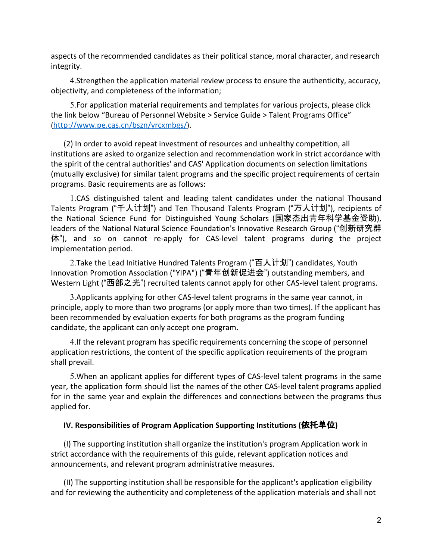aspects of the recommended candidates as their political stance, moral character, and research integrity.

4.Strengthen the application material review process to ensure the authenticity, accuracy, objectivity, and completeness of the information;

5.For application material requirements and templates for various projects, please click the link below "Bureau of Personnel Website > Service Guide > Talent Programs Office" (<http://www.pe.cas.cn/bszn/yrcxmbgs/>).

(2) In order to avoid repeat investment of resources and unhealthy competition, all institutions are asked to organize selection and recommendation work in strict accordance with the spirit of the central authorities' and CAS' Application documents on selection limitations (mutually exclusive) for similar talent programs and the specific project requirements of certain programs. Basic requirements are as follows:

1.CAS distinguished talent and leading talent candidates under the national Thousand Talents Program ("千人计划") and Ten Thousand Talents Program ("万人计划"), recipients of the National Science Fund for Distinguished Young Scholars (国家杰出青年科学基金资助), leaders of the National Natural Science Foundation's Innovative Research Group ("创新研究群 体"), and so on cannot re-apply for CAS-level talent programs during the project implementation period.

2.Take the Lead Initiative Hundred Talents Program ("百人计划") candidates, Youth Innovation Promotion Association ("YIPA") ("青年创新促进会") outstanding members, and Western Light ("西部之光") recruited talents cannot apply for other CAS-level talent programs.

3.Applicants applying for other CAS-level talent programs in the same year cannot, in principle, apply to more than two programs (or apply more than two times). If the applicant has been recommended by evaluation experts for both programs as the program funding candidate, the applicant can only accept one program.

4.If the relevant program has specific requirements concerning the scope of personnel application restrictions, the content of the specific application requirements of the program shall prevail.

5.When an applicant applies for different types of CAS-level talent programs in the same year, the application form should list the names of the other CAS-level talent programs applied for in the same year and explain the differences and connections between the programs thus applied for.

#### **IV. Responsibilities of Program Application Supporting Institutions (**依托单位**)**

(I) The supporting institution shall organize the institution's program Application work in strict accordance with the requirements of this guide, relevant application notices and announcements, and relevant program administrative measures.

(II) The supporting institution shall be responsible for the applicant's application eligibility and for reviewing the authenticity and completeness of the application materials and shall not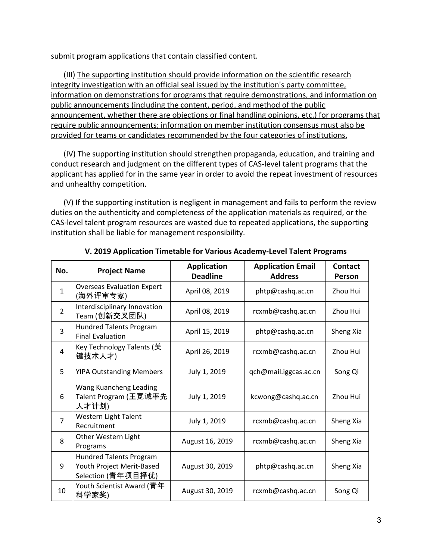submit program applications that contain classified content.

(III) The supporting institution should provide information on the scientific research integrity investigation with an official seal issued by the institution's party committee, information on demonstrations for programs that require demonstrations, and information on public announcements (including the content, period, and method of the public announcement, whether there are objections or final handling opinions, etc.) for programs that require public announcements; information on member institution consensus must also be provided for teams or candidates recommended by the four categories of institutions.

(IV) The supporting institution should strengthen propaganda, education, and training and conduct research and judgment on the different types of CAS-level talent programs that the applicant has applied for in the same year in order to avoid the repeat investment of resources and unhealthy competition.

(V) If the supporting institution is negligent in management and fails to perform the review duties on the authenticity and completeness of the application materials as required, or the CAS-level talent program resources are wasted due to repeated applications, the supporting institution shall be liable for management responsibility.

| No.            | <b>Project Name</b>                                                               | <b>Application</b><br><b>Deadline</b> | <b>Application Email</b><br><b>Address</b> | <b>Contact</b><br>Person |
|----------------|-----------------------------------------------------------------------------------|---------------------------------------|--------------------------------------------|--------------------------|
| $\mathbf{1}$   | <b>Overseas Evaluation Expert</b><br>(海外评审专家)                                     | April 08, 2019                        | phtp@cashq.ac.cn                           | Zhou Hui                 |
| $\overline{2}$ | Interdisciplinary Innovation<br>Team (创新交叉团队)                                     | April 08, 2019                        | rcxmb@cashq.ac.cn                          | Zhou Hui                 |
| 3              | <b>Hundred Talents Program</b><br><b>Final Evaluation</b>                         | April 15, 2019                        | phtp@cashq.ac.cn                           | Sheng Xia                |
| 4              | Key Technology Talents (关<br>键技术人才)                                               | April 26, 2019                        | rcxmb@cashq.ac.cn                          | Zhou Hui                 |
| 5              | <b>YIPA Outstanding Members</b>                                                   | July 1, 2019                          | qch@mail.iggcas.ac.cn                      | Song Qi                  |
| 6              | Wang Kuancheng Leading<br>Talent Program (王宽诚率先<br>人才计划)                          | July 1, 2019                          | kcwong@cashq.ac.cn                         | Zhou Hui                 |
| $\overline{7}$ | Western Light Talent<br>Recruitment                                               | July 1, 2019                          | rcxmb@cashq.ac.cn                          | Sheng Xia                |
| 8              | Other Western Light<br>Programs                                                   | August 16, 2019                       | rcxmb@cashq.ac.cn                          | Sheng Xia                |
| 9              | <b>Hundred Talents Program</b><br>Youth Project Merit-Based<br>Selection (青年项目择优) | August 30, 2019                       | phtp@cashq.ac.cn                           | Sheng Xia                |
| 10             | Youth Scientist Award (青年<br>科学家奖)                                                | August 30, 2019                       | rcxmb@cashq.ac.cn                          | Song Qi                  |

#### **V. 2019 Application Timetable for Various Academy-Level Talent Programs**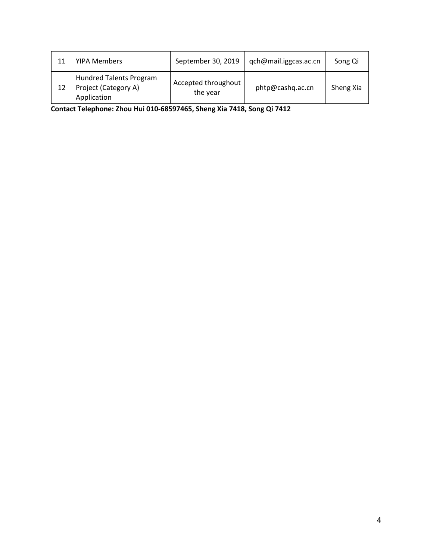| 11 | <b>YIPA Members</b>                                                   | September 30, 2019              | qch@mail.iggcas.ac.cn | Song Qi   |
|----|-----------------------------------------------------------------------|---------------------------------|-----------------------|-----------|
|    | <b>Hundred Talents Program</b><br>Project (Category A)<br>Application | Accepted throughout<br>the year | phtp@cashq.ac.cn      | Sheng Xia |

**Contact Telephone: Zhou Hui 010-68597465, Sheng Xia 7418, Song Qi 7412**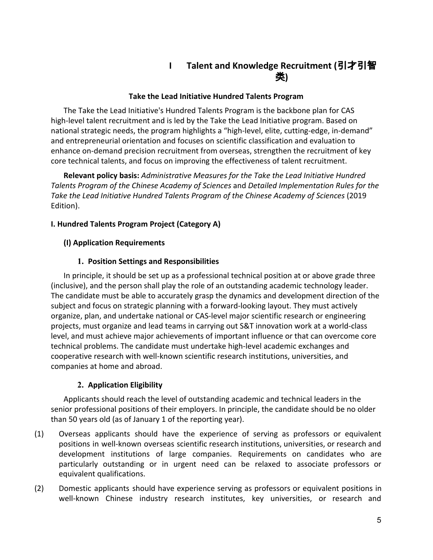# **I Talent and Knowledge Recruitment (**引才引智 类**)**

## **Take the Lead Initiative Hundred Talents Program**

<span id="page-7-1"></span><span id="page-7-0"></span>The Take the Lead Initiative's Hundred Talents Program is the backbone plan for CAS high-level talent recruitment and is led by the Take the Lead Initiative program. Based on national strategic needs, the program highlights a "high-level, elite, cutting-edge, in-demand" and entrepreneurial orientation and focuses on scientific classification and evaluation to enhance on-demand precision recruitment from overseas, strengthen the recruitment of key core technical talents, and focus on improving the effectiveness of talent recruitment.

**Relevant policy basis:** *Administrative Measures for the Take the Lead Initiative Hundred Talents Program of the Chinese Academy of Sciences* and *Detailed Implementation Rules for the Take the Lead Initiative Hundred Talents Program of the Chinese Academy of Sciences* (2019 Edition).

# <span id="page-7-2"></span>**I. Hundred Talents Program Project (Category A)**

# <span id="page-7-3"></span>**(I) Application Requirements**

# **1. Position Settings and Responsibilities**

In principle, it should be set up as a professional technical position at or above grade three (inclusive), and the person shall play the role of an outstanding academic technology leader. The candidate must be able to accurately grasp the dynamics and development direction of the subject and focus on strategic planning with a forward-looking layout. They must actively organize, plan, and undertake national or CAS-level major scientific research or engineering projects, must organize and lead teams in carrying out S&T innovation work at a world-class level, and must achieve major achievements of important influence or that can overcome core technical problems. The candidate must undertake high-level academic exchanges and cooperative research with well-known scientific research institutions, universities, and companies at home and abroad.

# **2. Application Eligibility**

Applicants should reach the level of outstanding academic and technical leaders in the senior professional positions of their employers. In principle, the candidate should be no older than 50 years old (as of January 1 of the reporting year).

- (1) Overseas applicants should have the experience of serving as professors or equivalent positions in well-known overseas scientific research institutions, universities, or research and development institutions of large companies. Requirements on candidates who are particularly outstanding or in urgent need can be relaxed to associate professors or equivalent qualifications.
- (2) Domestic applicants should have experience serving as professors or equivalent positions in well-known Chinese industry research institutes, key universities, or research and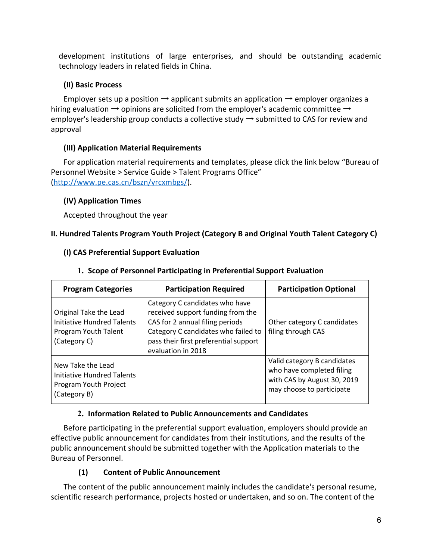development institutions of large enterprises, and should be outstanding academic technology leaders in related fields in China.

# <span id="page-8-0"></span>**(II) Basic Process**

Employer sets up a position  $\rightarrow$  applicant submits an application  $\rightarrow$  employer organizes a hiring evaluation  $\rightarrow$  opinions are solicited from the employer's academic committee  $\rightarrow$ employer's leadership group conducts a collective study  $\rightarrow$  submitted to CAS for review and approval

# <span id="page-8-1"></span>**(III) Application Material Requirements**

For application material requirements and templates, please click the link below "Bureau of Personnel Website > Service Guide > Talent Programs Office" ([http://www.pe.cas.cn/bszn/yrcxmbgs/\)](http://www.pe.cas.cn/bszn/yrcxmbgs/).

# <span id="page-8-2"></span>**(IV) Application Times**

Accepted throughout the year

# <span id="page-8-4"></span><span id="page-8-3"></span>**II. Hundred Talents Program Youth Project (Category B and Original Youth Talent Category C)**

# **(I) CAS Preferential Support Evaluation**

| <b>Program Categories</b>                                                                    | <b>Participation Required</b>                                                                                                                                                                                | <b>Participation Optional</b>                                                                                        |
|----------------------------------------------------------------------------------------------|--------------------------------------------------------------------------------------------------------------------------------------------------------------------------------------------------------------|----------------------------------------------------------------------------------------------------------------------|
| Original Take the Lead<br>Initiative Hundred Talents<br>Program Youth Talent<br>(Category C) | Category C candidates who have<br>received support funding from the<br>CAS for 2 annual filing periods<br>Category C candidates who failed to<br>pass their first preferential support<br>evaluation in 2018 | Other category C candidates<br>filing through CAS                                                                    |
| New Take the Lead<br>Initiative Hundred Talents<br>Program Youth Project<br>(Category B)     |                                                                                                                                                                                                              | Valid category B candidates<br>who have completed filing<br>with CAS by August 30, 2019<br>may choose to participate |

# **1. Scope of Personnel Participating in Preferential Support Evaluation**

# **2. Information Related to Public Announcements and Candidates**

Before participating in the preferential support evaluation, employers should provide an effective public announcement for candidates from their institutions, and the results of the public announcement should be submitted together with the Application materials to the Bureau of Personnel.

# **(1) Content of Public Announcement**

The content of the public announcement mainly includes the candidate's personal resume, scientific research performance, projects hosted or undertaken, and so on. The content of the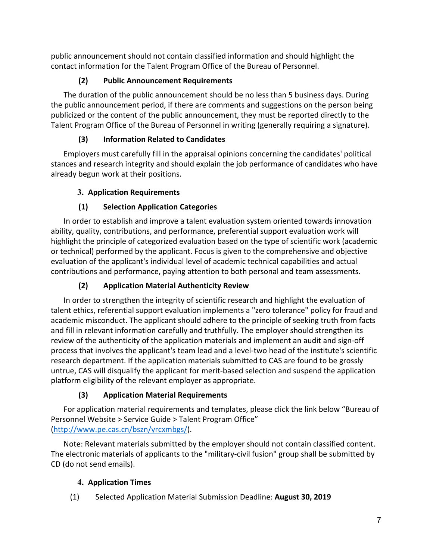public announcement should not contain classified information and should highlight the contact information for the Talent Program Office of the Bureau of Personnel.

# **(2) Public Announcement Requirements**

The duration of the public announcement should be no less than 5 business days. During the public announcement period, if there are comments and suggestions on the person being publicized or the content of the public announcement, they must be reported directly to the Talent Program Office of the Bureau of Personnel in writing (generally requiring a signature).

# **(3) Information Related to Candidates**

Employers must carefully fill in the appraisal opinions concerning the candidates' political stances and research integrity and should explain the job performance of candidates who have already begun work at their positions.

# **3. Application Requirements**

# **(1) Selection Application Categories**

In order to establish and improve a talent evaluation system oriented towards innovation ability, quality, contributions, and performance, preferential support evaluation work will highlight the principle of categorized evaluation based on the type of scientific work (academic or technical) performed by the applicant. Focus is given to the comprehensive and objective evaluation of the applicant's individual level of academic technical capabilities and actual contributions and performance, paying attention to both personal and team assessments.

# **(2) Application Material Authenticity Review**

In order to strengthen the integrity of scientific research and highlight the evaluation of talent ethics, referential support evaluation implements a "zero tolerance" policy for fraud and academic misconduct. The applicant should adhere to the principle of seeking truth from facts and fill in relevant information carefully and truthfully. The employer should strengthen its review of the authenticity of the application materials and implement an audit and sign-off process that involves the applicant's team lead and a level-two head of the institute's scientific research department. If the application materials submitted to CAS are found to be grossly untrue, CAS will disqualify the applicant for merit-based selection and suspend the application platform eligibility of the relevant employer as appropriate.

# **(3) Application Material Requirements**

For application material requirements and templates, please click the link below "Bureau of Personnel Website > Service Guide > Talent Program Office" ([http://www.pe.cas.cn/bszn/yrcxmbgs/\)](http://www.pe.cas.cn/bszn/yrcxmbgs/).

Note: Relevant materials submitted by the employer should not contain classified content. The electronic materials of applicants to the "military-civil fusion" group shall be submitted by CD (do not send emails).

# **4. Application Times**

(1) Selected Application Material Submission Deadline: **August 30, 2019**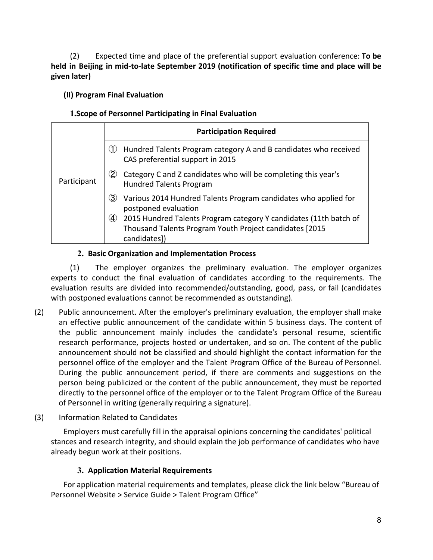(2) Expected time and place of the preferential support evaluation conference: **To be held in Beijing in mid-to-late September 2019 (notification of specific time and place will be given later)**

# <span id="page-10-0"></span>**(II) Program Final Evaluation**

# **1.Scope of Personnel Participating in Final Evaluation**

|             | <b>Participation Required</b>                                                                                                                                                                                                                                            |  |  |
|-------------|--------------------------------------------------------------------------------------------------------------------------------------------------------------------------------------------------------------------------------------------------------------------------|--|--|
|             | Hundred Talents Program category A and B candidates who received<br>(1)<br>CAS preferential support in 2015                                                                                                                                                              |  |  |
| Participant | $\bf(2)$<br>Category C and Z candidates who will be completing this year's<br><b>Hundred Talents Program</b>                                                                                                                                                             |  |  |
|             | $\mathbf{3}$<br>Various 2014 Hundred Talents Program candidates who applied for<br>postponed evaluation<br>2015 Hundred Talents Program category Y candidates (11th batch of<br>$\circled{4}$<br>Thousand Talents Program Youth Project candidates [2015<br>candidates]) |  |  |

# **2. Basic Organization and Implementation Process**

(1) The employer organizes the preliminary evaluation. The employer organizes experts to conduct the final evaluation of candidates according to the requirements. The evaluation results are divided into recommended/outstanding, good, pass, or fail (candidates with postponed evaluations cannot be recommended as outstanding).

- (2) Public announcement. After the employer's preliminary evaluation, the employer shall make an effective public announcement of the candidate within 5 business days. The content of the public announcement mainly includes the candidate's personal resume, scientific research performance, projects hosted or undertaken, and so on. The content of the public announcement should not be classified and should highlight the contact information for the personnel office of the employer and the Talent Program Office of the Bureau of Personnel. During the public announcement period, if there are comments and suggestions on the person being publicized or the content of the public announcement, they must be reported directly to the personnel office of the employer or to the Talent Program Office of the Bureau of Personnel in writing (generally requiring a signature).
- (3) Information Related to Candidates

Employers must carefully fill in the appraisal opinions concerning the candidates' political stances and research integrity, and should explain the job performance of candidates who have already begun work at their positions.

# **3. Application Material Requirements**

For application material requirements and templates, please click the link below "Bureau of Personnel Website > Service Guide > Talent Program Office"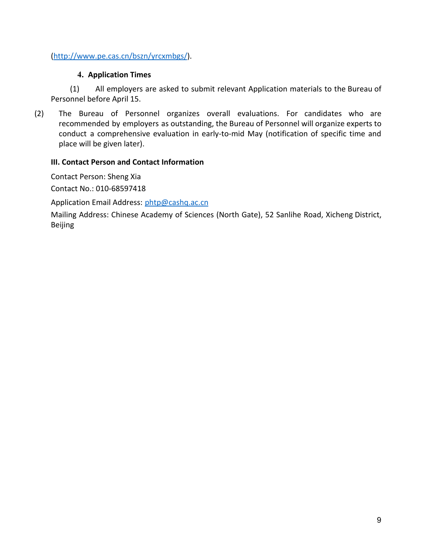# ([http://www.pe.cas.cn/bszn/yrcxmbgs/\)](http://www.pe.cas.cn/bszn/yrcxmbgs/).

## **4. Application Times**

(1) All employers are asked to submit relevant Application materials to the Bureau of Personnel before April 15.

(2) The Bureau of Personnel organizes overall evaluations. For candidates who are recommended by employers as outstanding, the Bureau of Personnel will organize experts to conduct a comprehensive evaluation in early-to-mid May (notification of specific time and place will be given later).

#### <span id="page-11-0"></span>**III. Contact Person and Contact Information**

Contact Person: Sheng Xia

Contact No.: 010-68597418

Application Email Address: [phtp@cashq.ac.cn](mailto:phtp@cashq.ac.cn)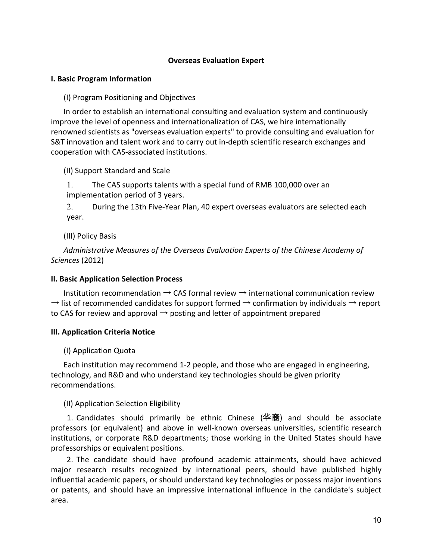#### **Overseas Evaluation Expert**

#### <span id="page-12-1"></span><span id="page-12-0"></span>**I. Basic Program Information**

(I) Program Positioning and Objectives

In order to establish an international consulting and evaluation system and continuously improve the level of openness and internationalization of CAS, we hire internationally renowned scientists as "overseas evaluation experts" to provide consulting and evaluation for S&T innovation and talent work and to carry out in-depth scientific research exchanges and cooperation with CAS-associated institutions.

(II) Support Standard and Scale

1. The CAS supports talents with a special fund of RMB 100,000 over an implementation period of 3 years.

2. During the 13th Five-Year Plan, 40 expert overseas evaluators are selected each year.

(III) Policy Basis

*Administrative Measures of the Overseas Evaluation Experts of the Chinese Academy of Sciences* (2012)

#### <span id="page-12-2"></span>**II. Basic Application Selection Process**

Institution recommendation  $\rightarrow$  CAS formal review  $\rightarrow$  international communication review  $\rightarrow$  list of recommended candidates for support formed  $\rightarrow$  confirmation by individuals  $\rightarrow$  report to CAS for review and approval  $\rightarrow$  posting and letter of appointment prepared

#### <span id="page-12-3"></span>**III. Application Criteria Notice**

(I) Application Quota

Each institution may recommend 1-2 people, and those who are engaged in engineering, technology, and R&D and who understand key technologies should be given priority recommendations.

(II) Application Selection Eligibility

1. Candidates should primarily be ethnic Chinese (华裔) and should be associate professors (or equivalent) and above in well-known overseas universities, scientific research institutions, or corporate R&D departments; those working in the United States should have professorships or equivalent positions.

2. The candidate should have profound academic attainments, should have achieved major research results recognized by international peers, should have published highly influential academic papers, or should understand key technologies or possess major inventions or patents, and should have an impressive international influence in the candidate's subject area.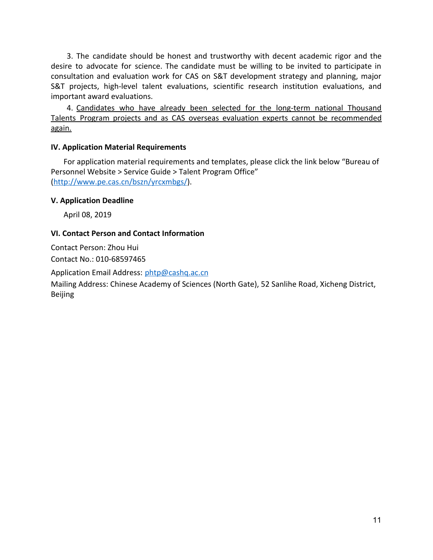3. The candidate should be honest and trustworthy with decent academic rigor and the desire to advocate for science. The candidate must be willing to be invited to participate in consultation and evaluation work for CAS on S&T development strategy and planning, major S&T projects, high-level talent evaluations, scientific research institution evaluations, and important award evaluations.

4. Candidates who have already been selected for the long-term national Thousand Talents Program projects and as CAS overseas evaluation experts cannot be recommended again.

#### <span id="page-13-0"></span>**IV. Application Material Requirements**

For application material requirements and templates, please click the link below "Bureau of Personnel Website > Service Guide > Talent Program Office" ([http://www.pe.cas.cn/bszn/yrcxmbgs/\)](http://www.pe.cas.cn/bszn/yrcxmbgs/).

#### <span id="page-13-1"></span>**V. Application Deadline**

April 08, 2019

#### <span id="page-13-2"></span>**VI. Contact Person and Contact Information**

Contact Person: Zhou Hui Contact No.: 010-68597465

Application Email Address: [phtp@cashq.ac.cn](mailto:phtp@cashq.ac.cn)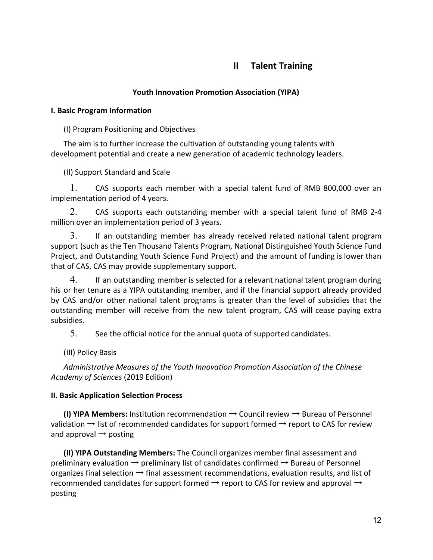# **II Talent Training**

# **Youth Innovation Promotion Association (YIPA)**

#### <span id="page-14-2"></span><span id="page-14-1"></span><span id="page-14-0"></span>**I. Basic Program Information**

(I) Program Positioning and Objectives

The aim is to further increase the cultivation of outstanding young talents with development potential and create a new generation of academic technology leaders.

(II) Support Standard and Scale

1. CAS supports each member with a special talent fund of RMB 800,000 over an implementation period of 4 years.

2. CAS supports each outstanding member with a special talent fund of RMB 2-4 million over an implementation period of 3 years.

3. If an outstanding member has already received related national talent program support (such as the Ten Thousand Talents Program, National Distinguished Youth Science Fund Project, and Outstanding Youth Science Fund Project) and the amount of funding is lower than that of CAS, CAS may provide supplementary support.

4. If an outstanding member is selected for a relevant national talent program during his or her tenure as a YIPA outstanding member, and if the financial support already provided by CAS and/or other national talent programs is greater than the level of subsidies that the outstanding member will receive from the new talent program, CAS will cease paying extra subsidies.

5. See the official notice for the annual quota of supported candidates.

(III) Policy Basis

*Administrative Measures of the Youth Innovation Promotion Association of the Chinese Academy of Sciences* (2019 Edition)

# <span id="page-14-3"></span>**II. Basic Application Selection Process**

**(I) YIPA Members:** Institution recommendation  $\rightarrow$  Council review  $\rightarrow$  Bureau of Personnel validation  $\rightarrow$  list of recommended candidates for support formed  $\rightarrow$  report to CAS for review and approval  $\rightarrow$  posting

**(II) YIPA Outstanding Members:** The Council organizes member final assessment and preliminary evaluation  $\rightarrow$  preliminary list of candidates confirmed  $\rightarrow$  Bureau of Personnel organizes final selection  $\rightarrow$  final assessment recommendations, evaluation results, and list of recommended candidates for support formed  $\rightarrow$  report to CAS for review and approval  $\rightarrow$ posting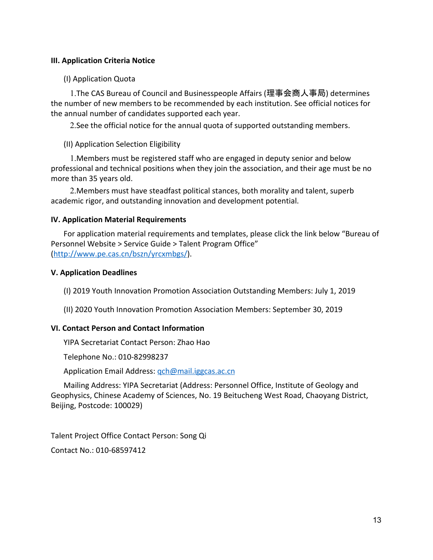## <span id="page-15-0"></span>**III. Application Criteria Notice**

(I) Application Quota

1.The CAS Bureau of Council and Businesspeople Affairs (理事会商人事局) determines the number of new members to be recommended by each institution. See official notices for the annual number of candidates supported each year.

2.See the official notice for the annual quota of supported outstanding members.

#### (II) Application Selection Eligibility

1.Members must be registered staff who are engaged in deputy senior and below professional and technical positions when they join the association, and their age must be no more than 35 years old.

2.Members must have steadfast political stances, both morality and talent, superb academic rigor, and outstanding innovation and development potential.

#### <span id="page-15-1"></span>**IV. Application Material Requirements**

For application material requirements and templates, please click the link below "Bureau of Personnel Website > Service Guide > Talent Program Office" ([http://www.pe.cas.cn/bszn/yrcxmbgs/\)](http://www.pe.cas.cn/bszn/yrcxmbgs/).

#### <span id="page-15-2"></span>**V. Application Deadlines**

(I) 2019 Youth Innovation Promotion Association Outstanding Members: July 1, 2019

(II) 2020 Youth Innovation Promotion Association Members: September 30, 2019

# <span id="page-15-3"></span>**VI. Contact Person and Contact Information**

YIPA Secretariat Contact Person: Zhao Hao

Telephone No.: 010-82998237

Application Email Address: gch@mail.iggcas.ac.cn

Mailing Address: YIPA Secretariat (Address: Personnel Office, Institute of Geology and Geophysics, Chinese Academy of Sciences, No. 19 Beitucheng West Road, Chaoyang District, Beijing, Postcode: 100029)

Talent Project Office Contact Person: Song Qi Contact No.: 010-68597412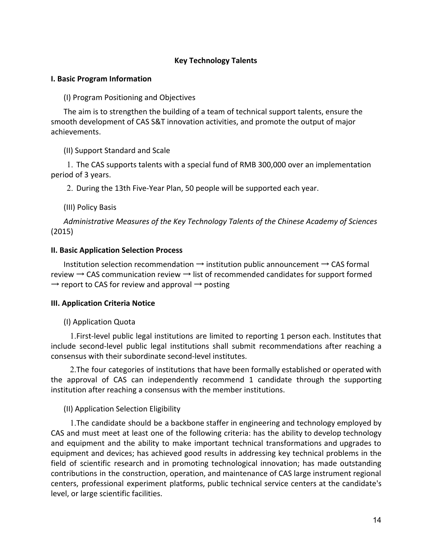## **Key Technology Talents**

#### <span id="page-16-1"></span><span id="page-16-0"></span>**I. Basic Program Information**

(I) Program Positioning and Objectives

The aim is to strengthen the building of a team of technical support talents, ensure the smooth development of CAS S&T innovation activities, and promote the output of major achievements.

(II) Support Standard and Scale

1. The CAS supports talents with a special fund of RMB 300,000 over an implementation period of 3 years.

2. During the 13th Five-Year Plan, 50 people will be supported each year.

(III) Policy Basis

*Administrative Measures of the Key Technology Talents of the Chinese Academy of Sciences* (2015)

#### <span id="page-16-2"></span>**II. Basic Application Selection Process**

Institution selection recommendation  $\rightarrow$  institution public announcement  $\rightarrow$  CAS formal review  $\rightarrow$  CAS communication review  $\rightarrow$  list of recommended candidates for support formed  $\rightarrow$  report to CAS for review and approval  $\rightarrow$  posting

#### <span id="page-16-3"></span>**III. Application Criteria Notice**

#### (I) Application Quota

1.First-level public legal institutions are limited to reporting 1 person each. Institutes that include second-level public legal institutions shall submit recommendations after reaching a consensus with their subordinate second-level institutes.

2.The four categories of institutions that have been formally established or operated with the approval of CAS can independently recommend 1 candidate through the supporting institution after reaching a consensus with the member institutions.

#### (II) Application Selection Eligibility

1.The candidate should be a backbone staffer in engineering and technology employed by CAS and must meet at least one of the following criteria: has the ability to develop technology and equipment and the ability to make important technical transformations and upgrades to equipment and devices; has achieved good results in addressing key technical problems in the field of scientific research and in promoting technological innovation; has made outstanding contributions in the construction, operation, and maintenance of CAS large instrument regional centers, professional experiment platforms, public technical service centers at the candidate's level, or large scientific facilities.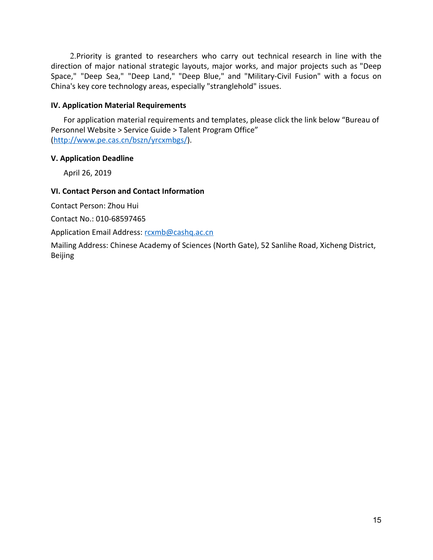2.Priority is granted to researchers who carry out technical research in line with the direction of major national strategic layouts, major works, and major projects such as "Deep Space," "Deep Sea," "Deep Land," "Deep Blue," and "Military-Civil Fusion" with a focus on China's key core technology areas, especially "stranglehold" issues.

#### <span id="page-17-0"></span>**IV. Application Material Requirements**

For application material requirements and templates, please click the link below "Bureau of Personnel Website > Service Guide > Talent Program Office" ([http://www.pe.cas.cn/bszn/yrcxmbgs/\)](http://www.pe.cas.cn/bszn/yrcxmbgs/).

#### <span id="page-17-1"></span>**V. Application Deadline**

April 26, 2019

#### <span id="page-17-2"></span>**VI. Contact Person and Contact Information**

Contact Person: Zhou Hui

Contact No.: 010-68597465

Application Email Address: [rcxmb@cashq.ac.cn](mailto:rcxmb@cashq.ac.cn)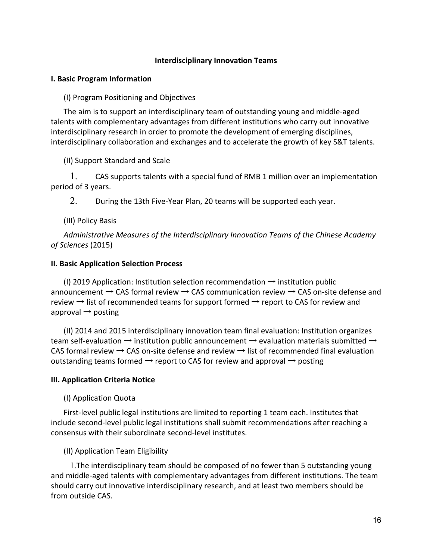#### **Interdisciplinary Innovation Teams**

#### <span id="page-18-1"></span><span id="page-18-0"></span>**I. Basic Program Information**

(I) Program Positioning and Objectives

The aim is to support an interdisciplinary team of outstanding young and middle-aged talents with complementary advantages from different institutions who carry out innovative interdisciplinary research in order to promote the development of emerging disciplines, interdisciplinary collaboration and exchanges and to accelerate the growth of key S&T talents.

(II) Support Standard and Scale

1. CAS supports talents with a special fund of RMB 1 million over an implementation period of 3 years.

2. During the 13th Five-Year Plan, 20 teams will be supported each year.

(III) Policy Basis

*Administrative Measures of the Interdisciplinary Innovation Teams of the Chinese Academy of Sciences* (2015)

#### <span id="page-18-2"></span>**II. Basic Application Selection Process**

(I) 2019 Application: Institution selection recommendation  $\rightarrow$  institution public announcement  $\rightarrow$  CAS formal review  $\rightarrow$  CAS communication review  $\rightarrow$  CAS on-site defense and review  $\rightarrow$  list of recommended teams for support formed  $\rightarrow$  report to CAS for review and approval  $\rightarrow$  posting

(II) 2014 and 2015 interdisciplinary innovation team final evaluation: Institution organizes team self-evaluation  $\rightarrow$  institution public announcement  $\rightarrow$  evaluation materials submitted  $\rightarrow$ CAS formal review  $\rightarrow$  CAS on-site defense and review  $\rightarrow$  list of recommended final evaluation outstanding teams formed  $\rightarrow$  report to CAS for review and approval  $\rightarrow$  posting

#### <span id="page-18-3"></span>**III. Application Criteria Notice**

#### (I) Application Quota

First-level public legal institutions are limited to reporting 1 team each. Institutes that include second-level public legal institutions shall submit recommendations after reaching a consensus with their subordinate second-level institutes.

#### (II) Application Team Eligibility

1.The interdisciplinary team should be composed of no fewer than 5 outstanding young and middle-aged talents with complementary advantages from different institutions. The team should carry out innovative interdisciplinary research, and at least two members should be from outside CAS.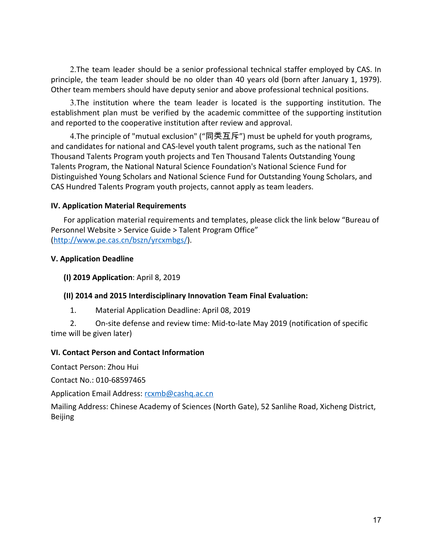2.The team leader should be a senior professional technical staffer employed by CAS. In principle, the team leader should be no older than 40 years old (born after January 1, 1979). Other team members should have deputy senior and above professional technical positions.

3.The institution where the team leader is located is the supporting institution. The establishment plan must be verified by the academic committee of the supporting institution and reported to the cooperative institution after review and approval.

4.The principle of "mutual exclusion" ("同类互斥") must be upheld for youth programs, and candidates for national and CAS-level youth talent programs, such as the national Ten Thousand Talents Program youth projects and Ten Thousand Talents Outstanding Young Talents Program, the National Natural Science Foundation's National Science Fund for Distinguished Young Scholars and National Science Fund for Outstanding Young Scholars, and CAS Hundred Talents Program youth projects, cannot apply as team leaders.

#### <span id="page-19-0"></span>**IV. Application Material Requirements**

For application material requirements and templates, please click the link below "Bureau of Personnel Website > Service Guide > Talent Program Office" ([http://www.pe.cas.cn/bszn/yrcxmbgs/\)](http://www.pe.cas.cn/bszn/yrcxmbgs/).

#### <span id="page-19-1"></span>**V. Application Deadline**

**(I) 2019 Application**: April 8, 2019

# **(II) 2014 and 2015 Interdisciplinary Innovation Team Final Evaluation:**

1. Material Application Deadline: April 08, 2019

2. On-site defense and review time: Mid-to-late May 2019 (notification of specific time will be given later)

#### <span id="page-19-2"></span>**VI. Contact Person and Contact Information**

Contact Person: Zhou Hui

Contact No.: 010-68597465

Application Email Address: [rcxmb@cashq.ac.cn](mailto:rcxmb@cashq.ac.cn)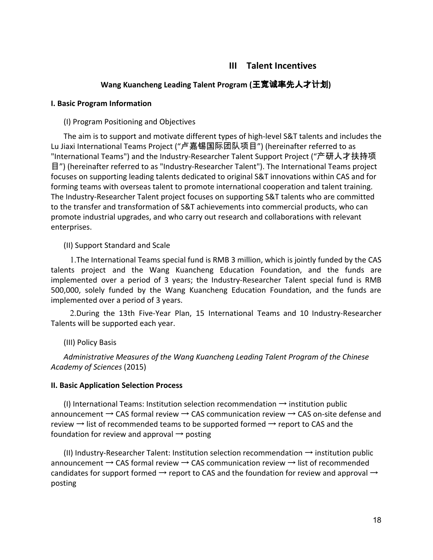# **III Talent Incentives**

## **Wang Kuancheng Leading Talent Program (**王宽诚率先人才计划**)**

#### <span id="page-20-2"></span><span id="page-20-1"></span><span id="page-20-0"></span>**I. Basic Program Information**

#### (I) Program Positioning and Objectives

The aim is to support and motivate different types of high-level S&T talents and includes the Lu Jiaxi International Teams Project ("卢嘉锡国际团队项目") (hereinafter referred to as "International Teams") and the Industry-Researcher Talent Support Project ("产研人才扶持项 目") (hereinafter referred to as "Industry-Researcher Talent"). The International Teams project focuses on supporting leading talents dedicated to original S&T innovations within CAS and for forming teams with overseas talent to promote international cooperation and talent training. The Industry-Researcher Talent project focuses on supporting S&T talents who are committed to the transfer and transformation of S&T achievements into commercial products, who can promote industrial upgrades, and who carry out research and collaborations with relevant enterprises.

#### (II) Support Standard and Scale

1.The International Teams special fund is RMB 3 million, which is jointly funded by the CAS talents project and the Wang Kuancheng Education Foundation, and the funds are implemented over a period of 3 years; the Industry-Researcher Talent special fund is RMB 500,000, solely funded by the Wang Kuancheng Education Foundation, and the funds are implemented over a period of 3 years.

2.During the 13th Five-Year Plan, 15 International Teams and 10 Industry-Researcher Talents will be supported each year.

#### (III) Policy Basis

*Administrative Measures of the Wang Kuancheng Leading Talent Program of the Chinese Academy of Sciences* (2015)

#### <span id="page-20-3"></span>**II. Basic Application Selection Process**

(I) International Teams: Institution selection recommendation  $\rightarrow$  institution public announcement  $\rightarrow$  CAS formal review  $\rightarrow$  CAS communication review  $\rightarrow$  CAS on-site defense and review  $\rightarrow$  list of recommended teams to be supported formed  $\rightarrow$  report to CAS and the foundation for review and approval  $\rightarrow$  posting

(II) Industry-Researcher Talent: Institution selection recommendation  $\rightarrow$  institution public announcement  $\rightarrow$  CAS formal review  $\rightarrow$  CAS communication review  $\rightarrow$  list of recommended candidates for support formed  $\rightarrow$  report to CAS and the foundation for review and approval  $\rightarrow$ posting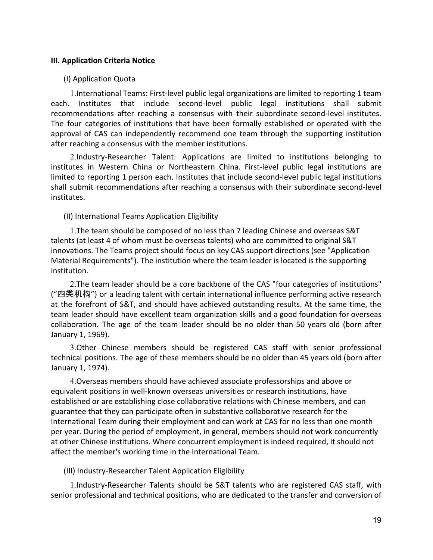#### <span id="page-21-0"></span>**III. Application Criteria Notice**

#### (I) Application Quota

1.International Teams: First-level public legal organizations are limited to reporting 1 team each. Institutes that include second-level public legal institutions shall submit recommendations after reaching a consensus with their subordinate second-level institutes. The four categories of institutions that have been formally established or operated with the approval of CAS can independently recommend one team through the supporting institution after reaching a consensus with the member institutions.

2.Industry-Researcher Talent: Applications are limited to institutions belonging to institutes in Western China or Northeastern China. First-level public legal institutions are limited to reporting 1 person each. Institutes that include second-level public legal institutions shall submit recommendations after reaching a consensus with their subordinate second-level institutes.

#### (II) International Teams Application Eligibility

1.The team should be composed of no less than 7 leading Chinese and overseas S&T talents (at least 4 of whom must be overseas talents) who are committed to original S&T innovations. The Teams project should focus on key CAS support directions (see "Application Material Requirements"). The institution where the team leader is located is the supporting institution.

2.The team leader should be a core backbone of the CAS "four categories of institutions" ("四类机构") or a leading talent with certain international influence performing active research at the forefront of S&T, and should have achieved outstanding results. At the same time, the team leader should have excellent team organization skills and a good foundation for overseas collaboration. The age of the team leader should be no older than 50 years old (born after January 1, 1969).

3.Other Chinese members should be registered CAS staff with senior professional technical positions. The age of these members should be no older than 45 years old (born after January 1, 1974).

4.Overseas members should have achieved associate professorships and above or equivalent positions in well-known overseas universities or research institutions, have established or are establishing close collaborative relations with Chinese members, and can guarantee that they can participate often in substantive collaborative research for the International Team during their employment and can work at CAS for no less than one month per year. During the period of employment, in general, members should not work concurrently at other Chinese institutions. Where concurrent employment is indeed required, it should not affect the member's working time in the International Team.

#### (III) Industry-Researcher Talent Application Eligibility

1.Industry-Researcher Talents should be S&T talents who are registered CAS staff, with senior professional and technical positions, who are dedicated to the transfer and conversion of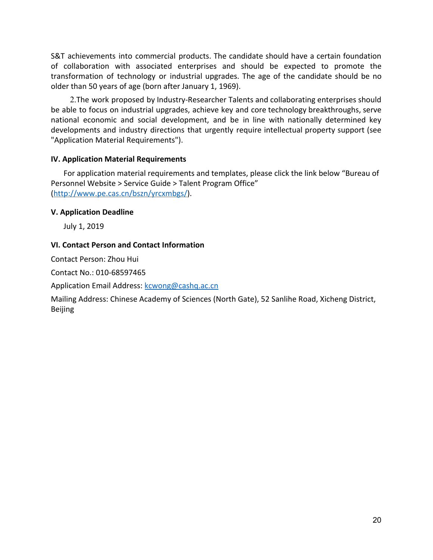S&T achievements into commercial products. The candidate should have a certain foundation of collaboration with associated enterprises and should be expected to promote the transformation of technology or industrial upgrades. The age of the candidate should be no older than 50 years of age (born after January 1, 1969).

2.The work proposed by Industry-Researcher Talents and collaborating enterprises should be able to focus on industrial upgrades, achieve key and core technology breakthroughs, serve national economic and social development, and be in line with nationally determined key developments and industry directions that urgently require intellectual property support (see "Application Material Requirements").

#### <span id="page-22-0"></span>**IV. Application Material Requirements**

For application material requirements and templates, please click the link below "Bureau of Personnel Website > Service Guide > Talent Program Office" ([http://www.pe.cas.cn/bszn/yrcxmbgs/\)](http://www.pe.cas.cn/bszn/yrcxmbgs/).

#### <span id="page-22-1"></span>**V. Application Deadline**

July 1, 2019

#### <span id="page-22-2"></span>**VI. Contact Person and Contact Information**

Contact Person: Zhou Hui

Contact No.: 010-68597465

Application Email Address: [kcwong@cashq.ac.cn](mailto:kcwong@cashq.ac.cn)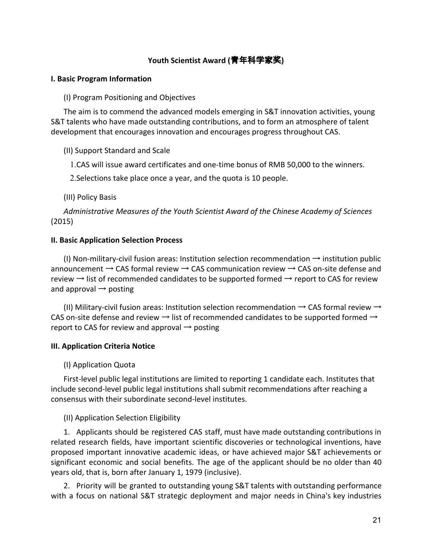# **Youth Scientist Award (**青年科学家奖**)**

#### <span id="page-23-1"></span><span id="page-23-0"></span>**I. Basic Program Information**

(I) Program Positioning and Objectives

The aim is to commend the advanced models emerging in S&T innovation activities, young S&T talents who have made outstanding contributions, and to form an atmosphere of talent development that encourages innovation and encourages progress throughout CAS.

(II) Support Standard and Scale

1.CAS will issue award certificates and one-time bonus of RMB 50,000 to the winners.

2.Selections take place once a year, and the quota is 10 people.

(III) Policy Basis

*Administrative Measures of the Youth Scientist Award of the Chinese Academy of Sciences* (2015)

#### <span id="page-23-2"></span>**II. Basic Application Selection Process**

(I) Non-military-civil fusion areas: Institution selection recommendation  $\rightarrow$  institution public announcement  $\rightarrow$  CAS formal review  $\rightarrow$  CAS communication review  $\rightarrow$  CAS on-site defense and review  $\rightarrow$  list of recommended candidates to be supported formed  $\rightarrow$  report to CAS for review and approval  $\rightarrow$  posting

(II) Military-civil fusion areas: Institution selection recommendation  $\rightarrow$  CAS formal review  $\rightarrow$ CAS on-site defense and review  $\rightarrow$  list of recommended candidates to be supported formed  $\rightarrow$ report to CAS for review and approval  $\rightarrow$  posting

#### <span id="page-23-3"></span>**III. Application Criteria Notice**

#### (I) Application Quota

First-level public legal institutions are limited to reporting 1 candidate each. Institutes that include second-level public legal institutions shall submit recommendations after reaching a consensus with their subordinate second-level institutes.

#### (II) Application Selection Eligibility

1. Applicants should be registered CAS staff, must have made outstanding contributions in related research fields, have important scientific discoveries or technological inventions, have proposed important innovative academic ideas, or have achieved major S&T achievements or significant economic and social benefits. The age of the applicant should be no older than 40 years old, that is, born after January 1, 1979 (inclusive).

2. Priority will be granted to outstanding young S&T talents with outstanding performance with a focus on national S&T strategic deployment and major needs in China's key industries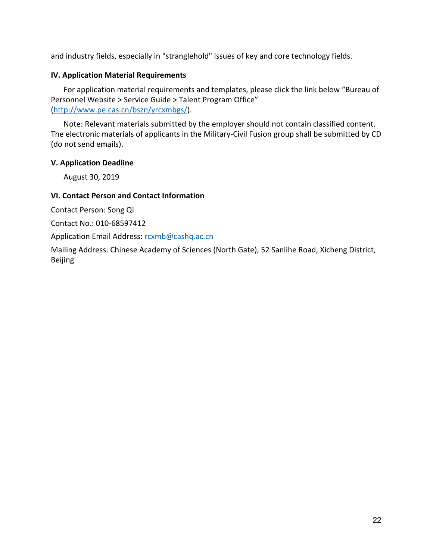and industry fields, especially in "stranglehold" issues of key and core technology fields.

# <span id="page-24-0"></span>**IV. Application Material Requirements**

For application material requirements and templates, please click the link below "Bureau of Personnel Website > Service Guide > Talent Program Office" ([http://www.pe.cas.cn/bszn/yrcxmbgs/\)](http://www.pe.cas.cn/bszn/yrcxmbgs/).

Note: Relevant materials submitted by the employer should not contain classified content. The electronic materials of applicants in the Military-Civil Fusion group shall be submitted by CD (do not send emails).

# <span id="page-24-1"></span>**V. Application Deadline**

August 30, 2019

# <span id="page-24-2"></span>**VI. Contact Person and Contact Information**

Contact Person: Song Qi

Contact No.: 010-68597412

Application Email Address: [rcxmb@cashq.ac.cn](mailto:rcxmb@cashq.ac.cn)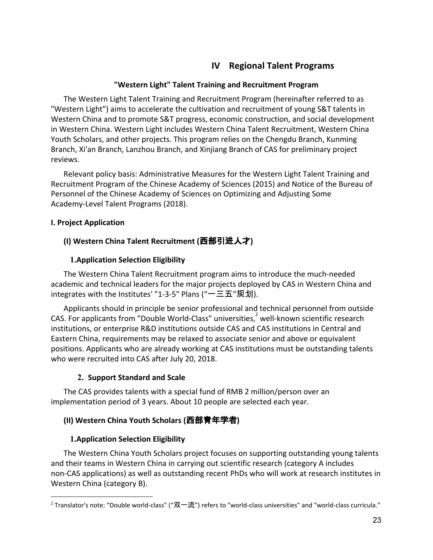# **IV Regional Talent Programs**

## **"Western Light" Talent Training and Recruitment Program**

<span id="page-25-1"></span><span id="page-25-0"></span>The Western Light Talent Training and Recruitment Program (hereinafter referred to as "Western Light") aims to accelerate the cultivation and recruitment of young S&T talents in Western China and to promote S&T progress, economic construction, and social development in Western China. Western Light includes Western China Talent Recruitment, Western China Youth Scholars, and other projects. This program relies on the Chengdu Branch, Kunming Branch, Xi'an Branch, Lanzhou Branch, and Xinjiang Branch of CAS for preliminary project reviews.

Relevant policy basis: Administrative Measures for the Western Light Talent Training and Recruitment Program of the Chinese Academy of Sciences (2015) and Notice of the Bureau of Personnel of the Chinese Academy of Sciences on Optimizing and Adjusting Some Academy-Level Talent Programs (2018).

#### <span id="page-25-3"></span><span id="page-25-2"></span>**I. Project Application**

# **(I) Western China Talent Recruitment (**西部引进人才**)**

# **1.Application Selection Eligibility**

The Western China Talent Recruitment program aims to introduce the much-needed academic and technical leaders for the major projects deployed by CAS in Western China and integrates with the Institutes' "1-3-5" Plans ("一三五"规划).

Applicants should in principle be senior professional and technical personnel from outside CAS. For applicants from "Double World-Class" universities, well-known scientific research institutions, or enterprise R&D institutions outside CAS and CAS institutions in Central and Eastern China, requirements may be relaxed to associate senior and above or equivalent positions. Applicants who are already working at CAS institutions must be outstanding talents who were recruited into CAS after July 20, 2018.

# **2. Support Standard and Scale**

The CAS provides talents with a special fund of RMB 2 million/person over an implementation period of 3 years. About 10 people are selected each year.

# <span id="page-25-4"></span>**(II) Western China Youth Scholars (**西部青年学者**)**

# **1.Application Selection Eligibility**

The Western China Youth Scholars project focuses on supporting outstanding young talents and their teams in Western China in carrying out scientific research (category A includes non-CAS applications) as well as outstanding recent PhDs who will work at research institutes in Western China (category B).

 $2$  Translator's note: "Double world-class" ("双一流") refers to "world-class universities" and "world-class curricula."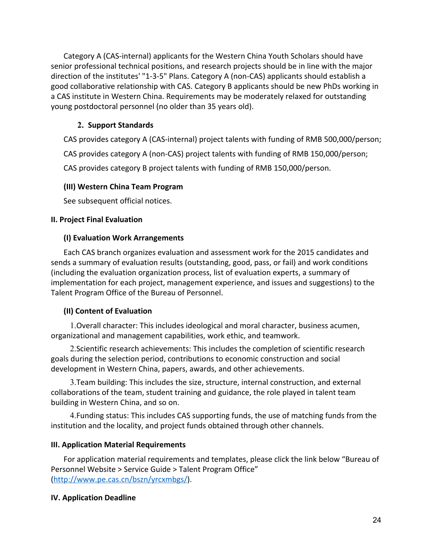Category A (CAS-internal) applicants for the Western China Youth Scholars should have senior professional technical positions, and research projects should be in line with the major direction of the institutes' "1-3-5" Plans. Category A (non-CAS) applicants should establish a good collaborative relationship with CAS. Category B applicants should be new PhDs working in a CAS institute in Western China. Requirements may be moderately relaxed for outstanding young postdoctoral personnel (no older than 35 years old).

# **2. Support Standards**

CAS provides category A (CAS-internal) project talents with funding of RMB 500,000/person;

CAS provides category A (non-CAS) project talents with funding of RMB 150,000/person;

CAS provides category B project talents with funding of RMB 150,000/person.

#### <span id="page-26-0"></span>**(III) Western China Team Program**

See subsequent official notices.

#### <span id="page-26-2"></span><span id="page-26-1"></span>**II. Project Final Evaluation**

#### **(I) Evaluation Work Arrangements**

Each CAS branch organizes evaluation and assessment work for the 2015 candidates and sends a summary of evaluation results (outstanding, good, pass, or fail) and work conditions (including the evaluation organization process, list of evaluation experts, a summary of implementation for each project, management experience, and issues and suggestions) to the Talent Program Office of the Bureau of Personnel.

# <span id="page-26-3"></span>**(II) Content of Evaluation**

1.Overall character: This includes ideological and moral character, business acumen, organizational and management capabilities, work ethic, and teamwork.

2.Scientific research achievements: This includes the completion of scientific research goals during the selection period, contributions to economic construction and social development in Western China, papers, awards, and other achievements.

3.Team building: This includes the size, structure, internal construction, and external collaborations of the team, student training and guidance, the role played in talent team building in Western China, and so on.

4.Funding status: This includes CAS supporting funds, the use of matching funds from the institution and the locality, and project funds obtained through other channels.

# <span id="page-26-4"></span>**III. Application Material Requirements**

For application material requirements and templates, please click the link below "Bureau of Personnel Website > Service Guide > Talent Program Office" ([http://www.pe.cas.cn/bszn/yrcxmbgs/\)](http://www.pe.cas.cn/bszn/yrcxmbgs/).

# <span id="page-26-5"></span>**IV. Application Deadline**